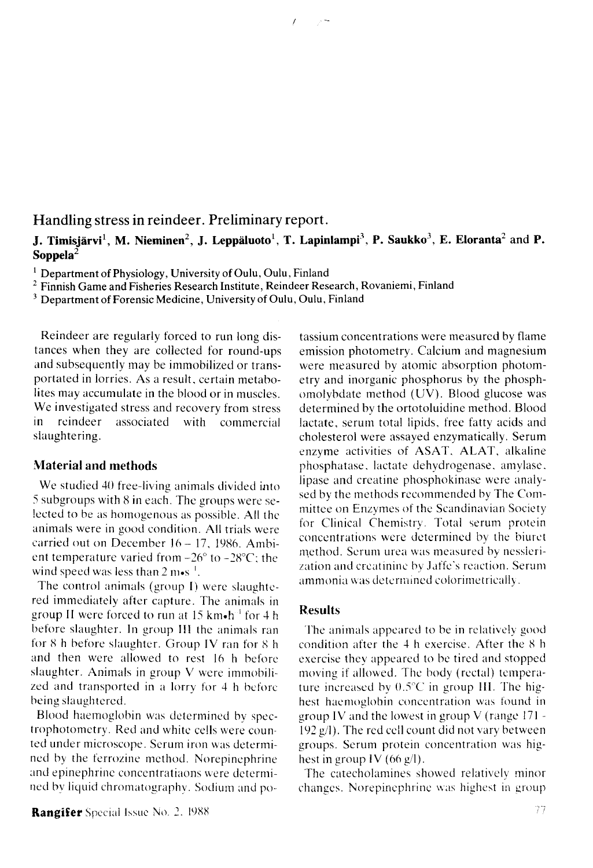# **Handling stress in reindeer. Preliminary report.**

### **J. Timisjärvi<sup>1</sup>, M. Nieminen<sup>2</sup>, J. Leppäluoto<sup>1</sup>, T. Lapinlampi<sup>3</sup>, P. Saukko<sup>3</sup>, E. Eloranta<sup>2</sup> and P. Soppela<sup>2</sup>**

 $\mathbb{R}^{2n}$ 

**1 Department of Physiology, University of Oulu, Oulu, Finland** 

**2 Finnish Game and Fisheries Research Institute, Reindeer Research, Rovaniemi, Finland** 

**3 Department of Forensic Medicine, University of Oulu, Oulu, Finland** 

Reindeer are regularly forced to run long distances when they are collected for round-ups and subsequently may be immobilized or transportated in lorries. As a result, certain metabolites may accumulate in the blood or in muscles. We investigated stress and recovery from stress in reindeer associated with commercial slaughtering.

#### **Material and methods**

We studied 40 free-living animals divided into 5 subgroups with 8 in each. The groups were selected to be as homogenous as possible. All the animals were in good condition. All trials were carried out on December 16- 17, 1986. Ambient temperature varied from -26° to -28°C; the wind speed was less than  $2 \text{ m} \cdot \text{s}^{-1}$ .

The control animals (group I) were slaughtered immediately after capture. The animals in group II were forced to run at 15 km $\bullet$ h $^{-1}$  for 4 h before slaughter. In group III the animals ran for 8 h before slaughter. Group IV ran for 8 h and then were allowed to rest 16 h before slaughter. Animals in group V were immobilized and transported in a lorry for 4 h beforebeing slaughtered.

Blood haemoglobin was determined by spectrophotometry. Red and white cells were counted under microscope. Serum iron was determined by the ferrozine method. Norepinephrine and epinephrine concentratiaons were determined by liquid chromatography. Sodium and po-

**Rangifer** Special issue No. 2. 1988

tassium concentrations were measured by flame emission photometry. Calcium and magnesium were measured by atomic absorption photometry and inorganic phosphorus by the phosphomolybdate method (UV). Blood glucose was determined by the ortotoluidine method. Blood lactate, serum total lipids, free fatty acids and cholesterol were assayed enzymatically. Serum enzyme activities of ASAT, ALAT, alkaline phosphatase, lactate dehydrogenase, amylase, lipase and creatine phosphokinase were analysed by the methods recommended by The Committee on Enzymes of the Scandinavian Society for Clinical Chemistry. Total serum protein concentrations were determined by the biuret method. Serum urea was measured by nesslerization and creatinine by Jaffe's reaction. Serum ammonia was determined colorimetrically.

## **Results**

The animals appeared to be in relatively good condition after the 4 h exercise. After the 8 h exercise they appeared to be tired and stopped moving if allowed. The body (rectal) temperature increased by  $0.5^{\circ}$ C in group III. The highest haemoglobin concentration was found in group IV and the lowest in group V (range 171 - 192  $g$  $(1)$ . The red cell count did not vary between groups. Serum protein concentration was highest in group IV  $(66 g/l)$ .

The catecholamines showed relatively minor changes. Norepinephrine was highest **in** group